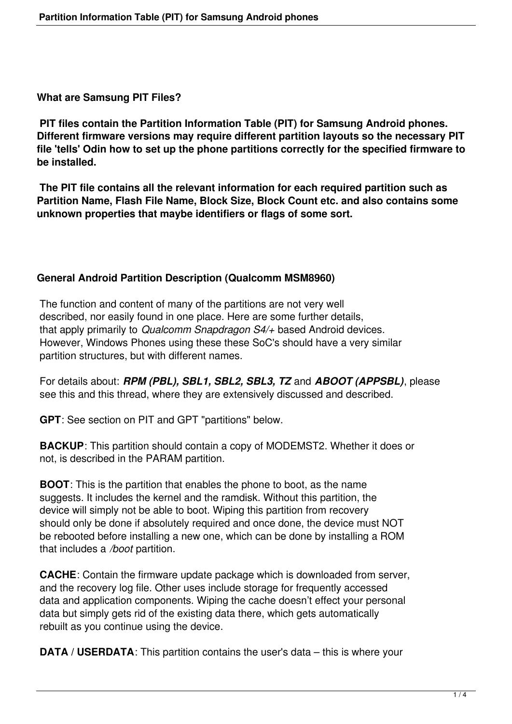**What are Samsung PIT Files?**

**PIT files contain the Partition Information Table (PIT) for Samsung Android phones. Different firmware versions may require different partition layouts so the necessary PIT file 'tells' Odin how to set up the phone partitions correctly for the specified firmware to be installed.**

 **The PIT file contains all the relevant information for each required partition such as Partition Name, Flash File Name, Block Size, Block Count etc. and also contains some unknown properties that maybe identifiers or flags of some sort.**

## **General Android Partition Description (Qualcomm MSM8960)**

 The function and content of many of the partitions are not very well described, nor easily found in one place. Here are some further details, that apply primarily to *Qualcomm Snapdragon S4/+* based Android devices. However, Windows Phones using these these SoC's should have a very similar partition structures, but with different names.

 For details about: *RPM (PBL), SBL1, SBL2, SBL3, TZ* and *ABOOT (APPSBL)*, please see this and this thread, where they are extensively discussed and described.

**GPT**: See section on PIT and GPT "partitions" below.

**BACKUP**: This partition should contain a copy of MODEMST2. Whether it does or not, is described in the PARAM partition.

**BOOT**: This is the partition that enables the phone to boot, as the name suggests. It includes the kernel and the ramdisk. Without this partition, the device will simply not be able to boot. Wiping this partition from recovery should only be done if absolutely required and once done, the device must NOT be rebooted before installing a new one, which can be done by installing a ROM that includes a */boot* partition.

**CACHE**: Contain the firmware update package which is downloaded from server, and the recovery log file. Other uses include storage for frequently accessed data and application components. Wiping the cache doesn't effect your personal data but simply gets rid of the existing data there, which gets automatically rebuilt as you continue using the device.

**DATA / USERDATA:** This partition contains the user's data – this is where your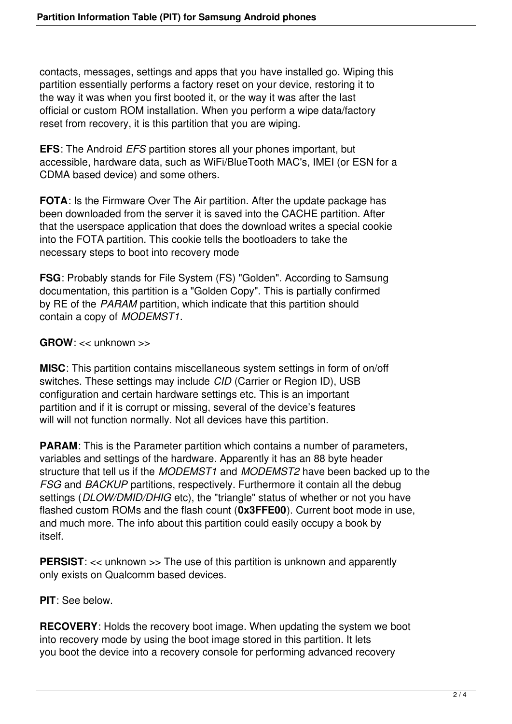contacts, messages, settings and apps that you have installed go. Wiping this partition essentially performs a factory reset on your device, restoring it to the way it was when you first booted it, or the way it was after the last official or custom ROM installation. When you perform a wipe data/factory reset from recovery, it is this partition that you are wiping.

**EFS**: The Android *EFS* partition stores all your phones important, but accessible, hardware data, such as WiFi/BlueTooth MAC's, IMEI (or ESN for a CDMA based device) and some others.

**FOTA**: Is the Firmware Over The Air partition. After the update package has been downloaded from the server it is saved into the CACHE partition. After that the userspace application that does the download writes a special cookie into the FOTA partition. This cookie tells the bootloaders to take the necessary steps to boot into recovery mode

**FSG**: Probably stands for File System (FS) "Golden". According to Samsung documentation, this partition is a "Golden Copy". This is partially confirmed by RE of the *PARAM* partition, which indicate that this partition should contain a copy of *MODEMST1*.

**GROW**: << unknown >>

**MISC**: This partition contains miscellaneous system settings in form of on/off switches. These settings may include *CID* (Carrier or Region ID), USB configuration and certain hardware settings etc. This is an important partition and if it is corrupt or missing, several of the device's features will will not function normally. Not all devices have this partition.

**PARAM**: This is the Parameter partition which contains a number of parameters, variables and settings of the hardware. Apparently it has an 88 byte header structure that tell us if the *MODEMST1* and *MODEMST2* have been backed up to the *FSG* and *BACKUP* partitions, respectively. Furthermore it contain all the debug settings (*DLOW/DMID/DHIG* etc), the "triangle" status of whether or not you have flashed custom ROMs and the flash count (**0x3FFE00**). Current boot mode in use, and much more. The info about this partition could easily occupy a book by itself.

**PERSIST:** << unknown >> The use of this partition is unknown and apparently only exists on Qualcomm based devices.

**PIT**: See below.

**RECOVERY**: Holds the recovery boot image. When updating the system we boot into recovery mode by using the boot image stored in this partition. It lets you boot the device into a recovery console for performing advanced recovery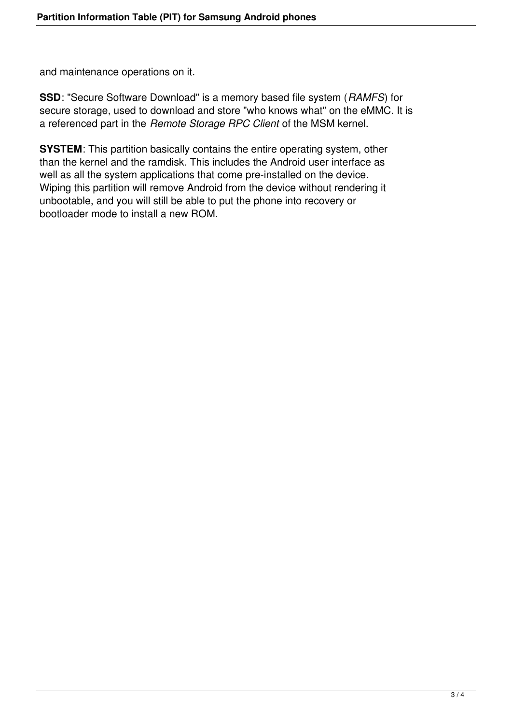and maintenance operations on it.

**SSD**: "Secure Software Download" is a memory based file system (*RAMFS*) for secure storage, used to download and store "who knows what" on the eMMC. It is a referenced part in the *Remote Storage RPC Client* of the MSM kernel.

**SYSTEM**: This partition basically contains the entire operating system, other than the kernel and the ramdisk. This includes the Android user interface as well as all the system applications that come pre-installed on the device. Wiping this partition will remove Android from the device without rendering it unbootable, and you will still be able to put the phone into recovery or bootloader mode to install a new ROM.